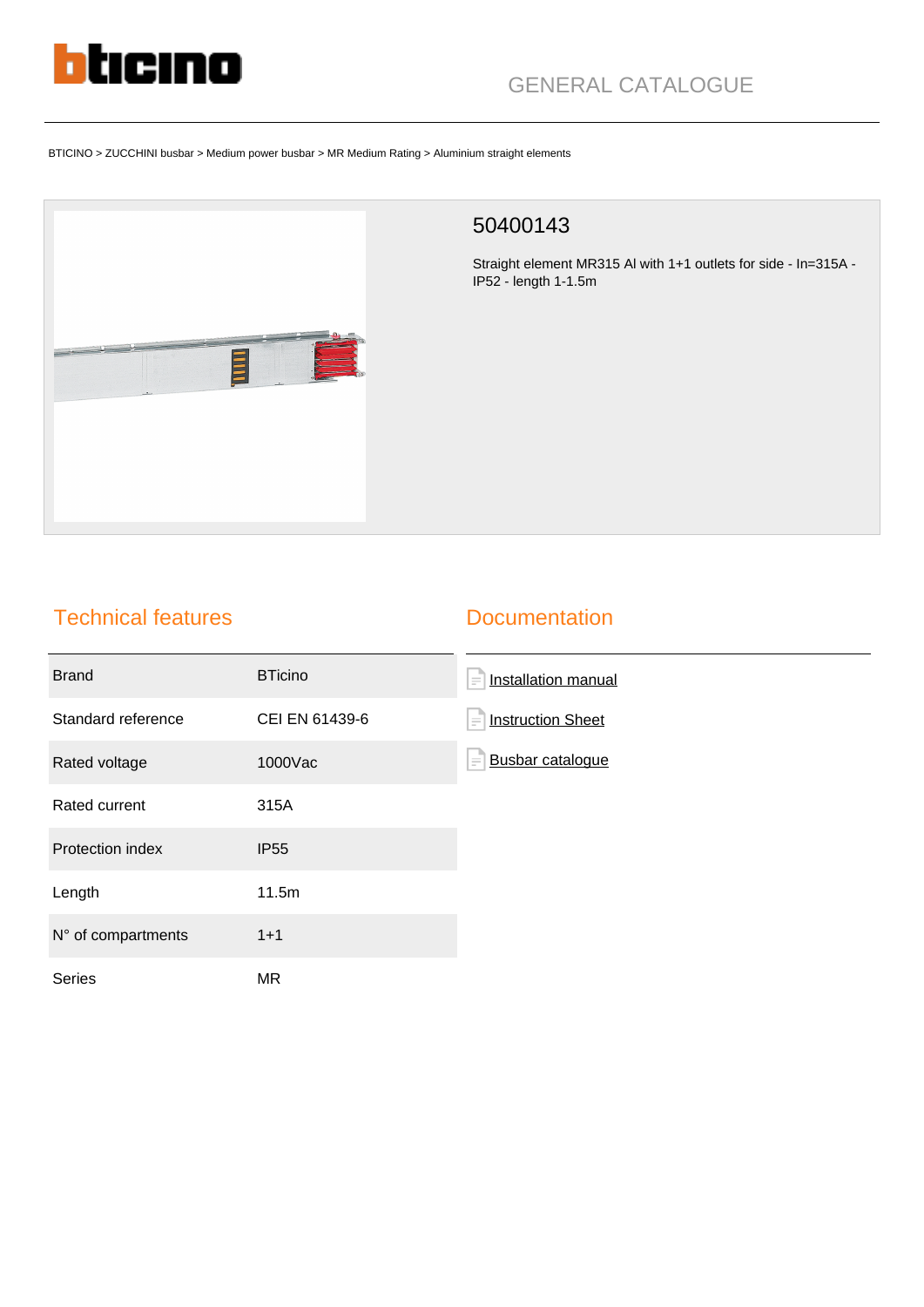

# GENERAL CATALOGUE

#### BTICINO > ZUCCHINI busbar > Medium power busbar > MR Medium Rating > Aluminium straight elements



### 50400143

Straight element MR315 Al with 1+1 outlets for side - In=315A - IP52 - length 1-1.5m

## Technical features

#### **Documentation**

| <b>Brand</b>       | <b>BTicino</b> | Installation manual<br>$\equiv$      |
|--------------------|----------------|--------------------------------------|
| Standard reference | CEI EN 61439-6 | <b>Instruction Sheet</b><br>$\equiv$ |
| Rated voltage      | 1000Vac        | Busbar catalogue<br>$\equiv$         |
| Rated current      | 315A           |                                      |
| Protection index   | <b>IP55</b>    |                                      |
| Length             | 11.5m          |                                      |
| N° of compartments | $1 + 1$        |                                      |
| <b>Series</b>      | MR             |                                      |